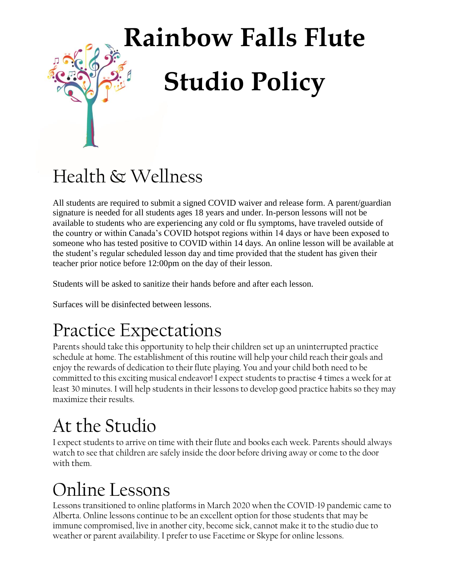# **Rainbow Falls Flute Studio Policy**

#### Health & Wellness

All students are required to submit a signed COVID waiver and release form. A parent/guardian signature is needed for all students ages 18 years and under. In-person lessons will not be available to students who are experiencing any cold or flu symptoms, have traveled outside of the country or within Canada's COVID hotspot regions within 14 days or have been exposed to someone who has tested positive to COVID within 14 days. An online lesson will be available at the student's regular scheduled lesson day and time provided that the student has given their teacher prior notice before 12:00pm on the day of their lesson.

Students will be asked to sanitize their hands before and after each lesson.

Surfaces will be disinfected between lessons.

#### Practice Expectations

Parents should take this opportunity to help their children set up an uninterrupted practice schedule at home. The establishment of this routine will help your child reach their goals and enjoy the rewards of dedication to their flute playing. You and your child both need to be committed to this exciting musical endeavor! I expect students to practise 4 times a week for at least 30 minutes. I will help students in their lessons to develop good practice habits so they may maximize their results.

#### At the Studio

I expect students to arrive on time with their flute and books each week. Parents should always watch to see that children are safely inside the door before driving away or come to the door with them.

#### Online Lessons

Lessons transitioned to online platforms in March 2020 when the COVID-19 pandemic came to Alberta. Online lessons continue to be an excellent option for those students that may be immune compromised, live in another city, become sick, cannot make it to the studio due to weather or parent availability. I prefer to use Facetime or Skype for online lessons.